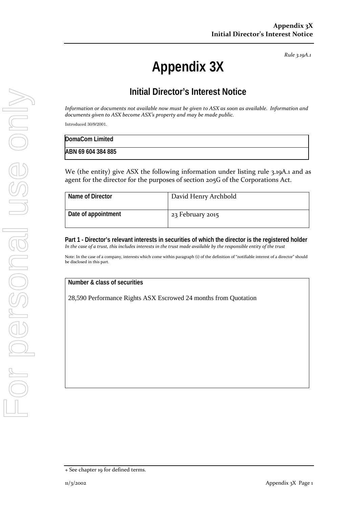*Rule 3.19A.1*

# **Appendix 3X**

## **Initial Director's Interest Notice**

*Information or documents not available now must be given to ASX as soon as available. Information and documents given to ASX become ASX's property and may be made public.*

Introduced 30/9/2001.

| DomaCom Limited    |  |
|--------------------|--|
| ABN 69 604 384 885 |  |

We (the entity) give ASX the following information under listing rule 3.19A.1 and as agent for the director for the purposes of section 205G of the Corporations Act.

| Name of Director    | David Henry Archbold |
|---------------------|----------------------|
| Date of appointment | 23 February 2015     |

**Part 1 - Director's relevant interests in securities of which the director is the registered holder** *In the case of a trust, this includes interests in the trust made available by the responsible entity of the trust*

Note: In the case of a company, interests which come within paragraph (i) of the definition of "notifiable interest of a director" should be disclosed in this part.

#### **Number & class of securities**

28,590 Performance Rights ASX Escrowed 24 months from Quotation

<sup>+</sup> See chapter 19 for defined terms.